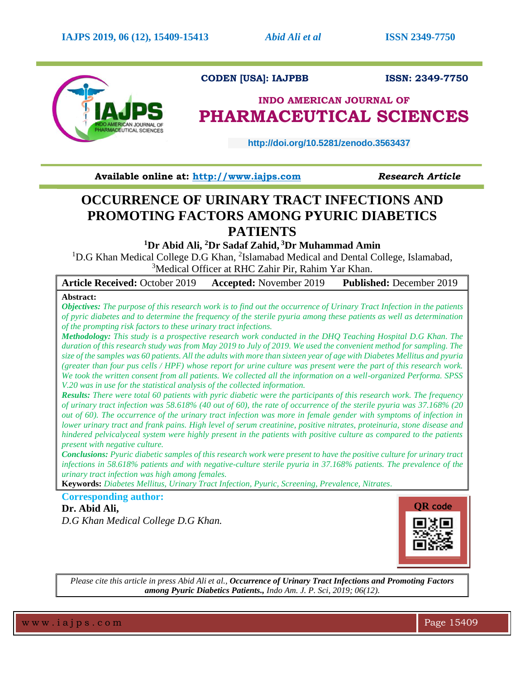

## **CODEN [USA]: IAJPBB ISSN: 2349-7750**

# **INDO AMERICAN JOURNAL OF PHARMACEUTICAL SCIENCES**

 **http://doi.org/10.5281/zenodo.3563437** 

**Available online at: [http://www.iajps.com](http://www.iajps.com/)** *Research Article*

# **OCCURRENCE OF URINARY TRACT INFECTIONS AND PROMOTING FACTORS AMONG PYURIC DIABETICS PATIENTS**

**<sup>1</sup>Dr Abid Ali, <sup>2</sup>Dr Sadaf Zahid, <sup>3</sup>Dr Muhammad Amin**

<sup>1</sup>D.G Khan Medical College D.G Khan, <sup>2</sup>Islamabad Medical and Dental College, Islamabad, <sup>3</sup>Medical Officer at RHC Zahir Pir, Rahim Yar Khan.

**Article Received:** October 2019 **Accepted:** November 2019 **Published:** December 2019

## **Abstract:**

*Objectives: The purpose of this research work is to find out the occurrence of Urinary Tract Infection in the patients of pyric diabetes and to determine the frequency of the sterile pyuria among these patients as well as determination of the prompting risk factors to these urinary tract infections.*

*Methodology: This study is a prospective research work conducted in the DHQ Teaching Hospital D.G Khan. The duration of this research study was from May 2019 to July of 2019. We used the convenient method for sampling. The size of the samples was 60 patients. All the adults with more than sixteen year of age with Diabetes Mellitus and pyuria (greater than four pus cells / HPF) whose report for urine culture was present were the part of this research work. We took the written consent from all patients. We collected all the information on a well-organized Performa. SPSS V.20 was in use for the statistical analysis of the collected information.* 

*Results: There were total 60 patients with pyric diabetic were the participants of this research work. The frequency of urinary tract infection was 58.618% (40 out of 60), the rate of occurrence of the sterile pyuria was 37.168% (20 out of 60). The occurrence of the urinary tract infection was more in female gender with symptoms of infection in lower urinary tract and frank pains. High level of serum creatinine, positive nitrates, proteinuria, stone disease and hindered pelvicalyceal system were highly present in the patients with positive culture as compared to the patients present with negative culture.* 

*Conclusions: Pyuric diabetic samples of this research work were present to have the positive culture for urinary tract infections in 58.618% patients and with negative-culture sterile pyuria in 37.168% patients. The prevalence of the urinary tract infection was high among females.* 

**Keywords:** *Diabetes Mellitus, Urinary Tract Infection, Pyuric, Screening, Prevalence, Nitrates.*

**Corresponding author: Dr. Abid Ali,** *D.G Khan Medical College D.G Khan.*



*Please cite this article in press Abid Ali et al., Occurrence of Urinary Tract Infections and Promoting Factors among Pyuric Diabetics Patients., Indo Am. J. P. Sci, 2019; 06(12).*

w w w .iaips.com  $\blacksquare$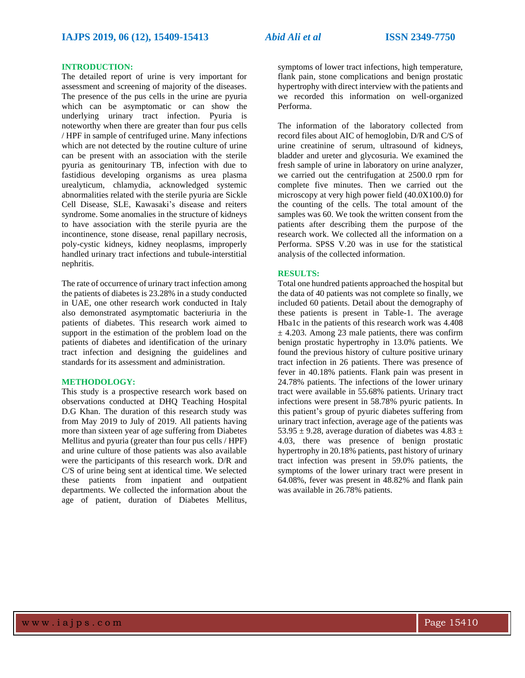### **INTRODUCTION:**

The detailed report of urine is very important for assessment and screening of majority of the diseases. The presence of the pus cells in the urine are pyuria which can be asymptomatic or can show the underlying urinary tract infection. Pyuria is noteworthy when there are greater than four pus cells / HPF in sample of centrifuged urine. Many infections which are not detected by the routine culture of urine can be present with an association with the sterile pyuria as genitourinary TB, infection with due to fastidious developing organisms as urea plasma urealyticum, chlamydia, acknowledged systemic abnormalities related with the sterile pyuria are Sickle Cell Disease, SLE, Kawasaki's disease and reiters syndrome. Some anomalies in the structure of kidneys to have association with the sterile pyuria are the incontinence, stone disease, renal papillary necrosis, poly-cystic kidneys, kidney neoplasms, improperly handled urinary tract infections and tubule-interstitial nephritis.

The rate of occurrence of urinary tract infection among the patients of diabetes is 23.28% in a study conducted in UAE, one other research work conducted in Italy also demonstrated asymptomatic bacteriuria in the patients of diabetes. This research work aimed to support in the estimation of the problem load on the patients of diabetes and identification of the urinary tract infection and designing the guidelines and standards for its assessment and administration.

### **METHODOLOGY:**

This study is a prospective research work based on observations conducted at DHQ Teaching Hospital D.G Khan. The duration of this research study was from May 2019 to July of 2019. All patients having more than sixteen year of age suffering from Diabetes Mellitus and pyuria (greater than four pus cells / HPF) and urine culture of those patients was also available were the participants of this research work. D/R and C/S of urine being sent at identical time. We selected these patients from inpatient and outpatient departments. We collected the information about the age of patient, duration of Diabetes Mellitus,

symptoms of lower tract infections, high temperature, flank pain, stone complications and benign prostatic hypertrophy with direct interview with the patients and we recorded this information on well-organized Performa.

The information of the laboratory collected from record files about AIC of hemoglobin, D/R and C/S of urine creatinine of serum, ultrasound of kidneys, bladder and ureter and glycosuria. We examined the fresh sample of urine in laboratory on urine analyzer, we carried out the centrifugation at 2500.0 rpm for complete five minutes. Then we carried out the microscopy at very high power field (40.0X100.0) for the counting of the cells. The total amount of the samples was 60. We took the written consent from the patients after describing them the purpose of the research work. We collected all the information on a Performa. SPSS V.20 was in use for the statistical analysis of the collected information.

### **RESULTS:**

Total one hundred patients approached the hospital but the data of 40 patients was not complete so finally, we included 60 patients. Detail about the demography of these patients is present in Table-1. The average Hba1c in the patients of this research work was 4.408  $\pm$  4.203. Among 23 male patients, there was confirm benign prostatic hypertrophy in 13.0% patients. We found the previous history of culture positive urinary tract infection in 26 patients. There was presence of fever in 40.18% patients. Flank pain was present in 24.78% patients. The infections of the lower urinary tract were available in 55.68% patients. Urinary tract infections were present in 58.78% pyuric patients. In this patient's group of pyuric diabetes suffering from urinary tract infection, average age of the patients was 53.95  $\pm$  9.28, average duration of diabetes was 4.83  $\pm$ 4.03, there was presence of benign prostatic hypertrophy in 20.18% patients, past history of urinary tract infection was present in 59.0% patients, the symptoms of the lower urinary tract were present in 64.08%, fever was present in 48.82% and flank pain was available in 26.78% patients.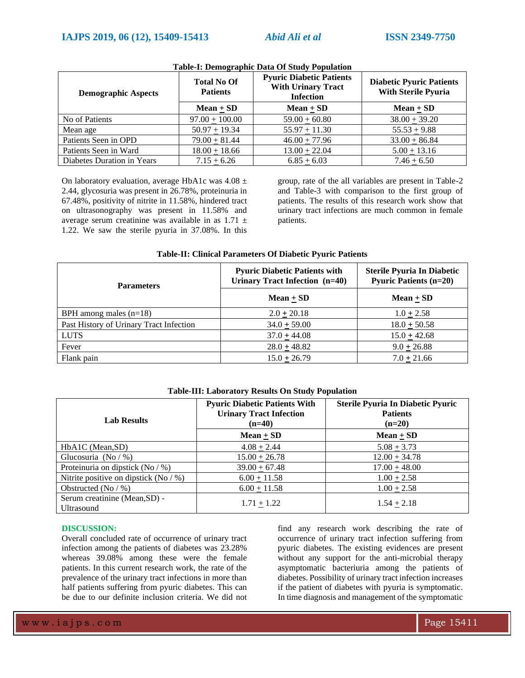| <b>Demographic Aspects</b> | <b>Total No Of</b><br><b>Patients</b> | <b>Pyuric Diabetic Patients</b><br><b>With Urinary Tract</b><br><b>Infection</b> | <b>Diabetic Pyuric Patients</b><br><b>With Sterile Pyuria</b> |
|----------------------------|---------------------------------------|----------------------------------------------------------------------------------|---------------------------------------------------------------|
|                            | $Mean + SD$                           | Mean $+$ SD                                                                      | Mean $\pm$ SD                                                 |
| No of Patients             | $97.00 + 100.00$                      | $59.00 + 60.80$                                                                  | $38.00 + 39.20$                                               |
| Mean age                   | $50.97 + 19.34$                       | $55.97 + 11.30$                                                                  | $55.53 + 9.88$                                                |
| Patients Seen in OPD       | $79.00 + 81.44$                       | $46.00 + 77.96$                                                                  | $33.00 + 86.84$                                               |
| Patients Seen in Ward      | $18.00 + 18.66$                       | $13.00 + 22.04$                                                                  | $5.00 + 13.16$                                                |
| Diabetes Duration in Years | $7.15 + 6.26$                         | $6.85 + 6.03$                                                                    | $7.46 + 6.50$                                                 |

### **Table-I: Demographic Data Of Study Population**

On laboratory evaluation, average HbA1c was  $4.08 \pm$ 2.44, glycosuria was present in 26.78%, proteinuria in 67.48%, positivity of nitrite in 11.58%, hindered tract on ultrasonography was present in 11.58% and average serum creatinine was available in as  $1.71 \pm$ 1.22. We saw the sterile pyuria in 37.08%. In this

group, rate of the all variables are present in Table-2 and Table-3 with comparison to the first group of patients. The results of this research work show that urinary tract infections are much common in female patients.

| Table-II: Clinical Parameters Of Diabetic Pyuric Patients |                                                                        |                                                                    |  |  |
|-----------------------------------------------------------|------------------------------------------------------------------------|--------------------------------------------------------------------|--|--|
| <b>Parameters</b>                                         | <b>Pyuric Diabetic Patients with</b><br>Urinary Tract Infection (n=40) | <b>Sterile Pyuria In Diabetic</b><br><b>Pyuric Patients (n=20)</b> |  |  |
|                                                           | $Mean + SD$                                                            | $Mean + SD$                                                        |  |  |
| BPH among males $(n=18)$                                  | $2.0 + 20.18$                                                          | $1.0 \pm 2.58$                                                     |  |  |
| Past History of Urinary Tract Infection                   | $34.0 \pm 59.00$                                                       | $18.0 \pm 50.58$                                                   |  |  |
| <b>LUTS</b>                                               | $37.0 + 44.08$                                                         | $15.0 + 42.68$                                                     |  |  |
| Fever                                                     | $28.0 \pm 48.82$                                                       | $9.0 \pm 26.88$                                                    |  |  |
| Flank pain                                                | $15.0 + 26.79$                                                         | $7.0 + 21.66$                                                      |  |  |

### **Table-II: Clinical Parameters Of Diabetic Pyuric Patients**

### **Table-III: Laboratory Results On Study Population**

| <b>Lab Results</b>                                 | <b>Pyuric Diabetic Patients With</b><br><b>Urinary Tract Infection</b><br>$(n=40)$ | <b>Sterile Pyuria In Diabetic Pyuric</b><br><b>Patients</b><br>$(n=20)$ |
|----------------------------------------------------|------------------------------------------------------------------------------------|-------------------------------------------------------------------------|
|                                                    | $Mean + SD$                                                                        | Mean $\pm$ SD                                                           |
| HbA1C (Mean, SD)                                   | $4.08 + 2.44$                                                                      | $5.08 + 3.73$                                                           |
| Glucosuria (No $/$ %)                              | $15.00 + 26.78$                                                                    | $12.00 + 34.78$                                                         |
| Proteinuria on dipstick (No $/$ %)                 | $39.00 + 67.48$                                                                    | $17.00 + 48.00$                                                         |
| Nitrite positive on dipstick (No $/$ %)            | $6.00 + 11.58$                                                                     | $1.00 + 2.58$                                                           |
| Obstructed (No $/$ %)                              | $6.00 + 11.58$                                                                     | $1.00 + 2.58$                                                           |
| Serum creatinine (Mean, SD) -<br><b>Ultrasound</b> | $1.71 + 1.22$                                                                      | $1.54 + 2.18$                                                           |

### **DISCUSSION:**

Overall concluded rate of occurrence of urinary tract infection among the patients of diabetes was 23.28% whereas 39.08% among these were the female patients. In this current research work, the rate of the prevalence of the urinary tract infections in more than half patients suffering from pyuric diabetes. This can be due to our definite inclusion criteria. We did not

find any research work describing the rate of occurrence of urinary tract infection suffering from pyuric diabetes. The existing evidences are present without any support for the anti-microbial therapy asymptomatic bacteriuria among the patients of diabetes. Possibility of urinary tract infection increases if the patient of diabetes with pyuria is symptomatic. In time diagnosis and management of the symptomatic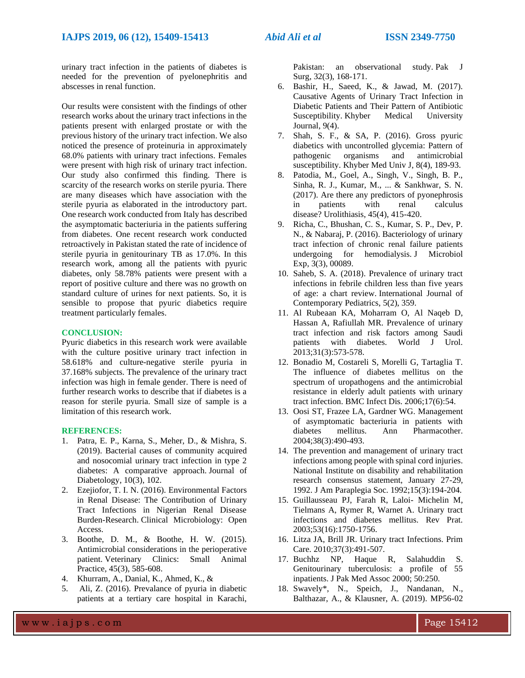urinary tract infection in the patients of diabetes is needed for the prevention of pyelonephritis and abscesses in renal function.

Our results were consistent with the findings of other research works about the urinary tract infections in the patients present with enlarged prostate or with the previous history of the urinary tract infection. We also noticed the presence of proteinuria in approximately 68.0% patients with urinary tract infections. Females were present with high risk of urinary tract infection. Our study also confirmed this finding. There is scarcity of the research works on sterile pyuria. There are many diseases which have association with the sterile pyuria as elaborated in the introductory part. One research work conducted from Italy has described the asymptomatic bacteriuria in the patients suffering from diabetes. One recent research work conducted retroactively in Pakistan stated the rate of incidence of sterile pyuria in genitourinary TB as 17.0%. In this research work, among all the patients with pyuric diabetes, only 58.78% patients were present with a report of positive culture and there was no growth on standard culture of urines for next patients. So, it is sensible to propose that pyuric diabetics require treatment particularly females.

### **CONCLUSION:**

Pyuric diabetics in this research work were available with the culture positive urinary tract infection in 58.618% and culture-negative sterile pyuria in 37.168% subjects. The prevalence of the urinary tract infection was high in female gender. There is need of further research works to describe that if diabetes is a reason for sterile pyuria. Small size of sample is a limitation of this research work.

### **REFERENCES:**

- 1. Patra, E. P., Karna, S., Meher, D., & Mishra, S. (2019). Bacterial causes of community acquired and nosocomial urinary tract infection in type 2 diabetes: A comparative approach. Journal of Diabetology, 10(3), 102.
- 2. Ezejiofor, T. I. N. (2016). Environmental Factors in Renal Disease: The Contribution of Urinary Tract Infections in Nigerian Renal Disease Burden-Research. Clinical Microbiology: Open Access.
- 3. Boothe, D. M., & Boothe, H. W. (2015). Antimicrobial considerations in the perioperative patient. Veterinary Clinics: Small Animal Practice, 45(3), 585-608.
- 4. Khurram, A., Danial, K., Ahmed, K., &
- 5. Ali, Z. (2016). Prevalance of pyuria in diabetic patients at a tertiary care hospital in Karachi,

Pakistan: an observational study. Pak J Surg, 32(3), 168-171.

- 6. Bashir, H., Saeed, K., & Jawad, M. (2017). Causative Agents of Urinary Tract Infection in Diabetic Patients and Their Pattern of Antibiotic Susceptibility. Khyber Medical University Journal, 9(4).
- 7. Shah, S. F., & SA, P. (2016). Gross pyuric diabetics with uncontrolled glycemia: Pattern of pathogenic organisms and antimicrobial susceptibility. Khyber Med Univ J, 8(4), 189-93.
- 8. Patodia, M., Goel, A., Singh, V., Singh, B. P., Sinha, R. J., Kumar, M., ... & Sankhwar, S. N. (2017). Are there any predictors of pyonephrosis in patients with renal calculus disease? Urolithiasis, 45(4), 415-420.
- 9. Richa, C., Bhushan, C. S., Kumar, S. P., Dev, P. N., & Nabaraj, P. (2016). Bacteriology of urinary tract infection of chronic renal failure patients undergoing for hemodialysis. J Microbiol Exp, 3(3), 00089.
- 10. Saheb, S. A. (2018). Prevalence of urinary tract infections in febrile children less than five years of age: a chart review. International Journal of Contemporary Pediatrics, 5(2), 359.
- 11. Al Rubeaan KA, Moharram O, Al Naqeb D, Hassan A, Rafiullah MR. Prevalence of urinary tract infection and risk factors among Saudi patients with diabetes. World J Urol. 2013;31(3):573-578.
- 12. Bonadio M, Costareli S, Morelli G, Tartaglia T. The influence of diabetes mellitus on the spectrum of uropathogens and the antimicrobial resistance in elderly adult patients with urinary tract infection. BMC Infect Dis. 2006;17(6):54.
- 13. Oosi ST, Frazee LA, Gardner WG. Management of asymptomatic bacteriuria in patients with diabetes mellitus. Ann Pharmacother. 2004;38(3):490-493.
- 14. The prevention and management of urinary tract infections among people with spinal cord injuries. National Institute on disability and rehabilitation research consensus statement, January 27-29, 1992. J Am Paraplegia Soc. 1992;15(3):194-204.
- 15. Guillausseau PJ, Farah R, Laloi- Michelin M, Tielmans A, Rymer R, Warnet A. Urinary tract infections and diabetes mellitus. Rev Prat. 2003;53(16):1750-1756.
- 16. Litza JA, Brill JR. Urinary tract Infections. Prim Care. 2010;37(3):491-507.
- 17. Buchhz NP, Haque R, Salahuddin S. Genitourinary tuberculosis: a profile of 55 inpatients. J Pak Med Assoc 2000; 50:250.
- 18. Swavely\*, N., Speich, J., Nandanan, N., Balthazar, A., & Klausner, A. (2019). MP56-02